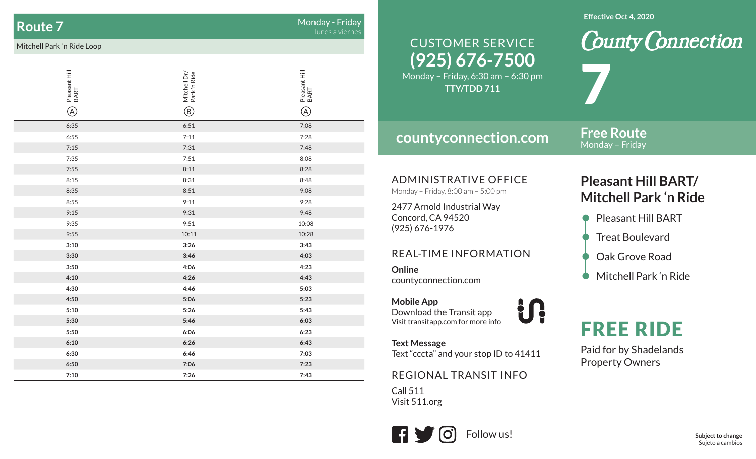### **Route 7**

 $\overline{\mathbf{7}}$  . The contract of the contract of the contract of the contract of the contract of the contract of the contract of the contract of the contract of the contract of the contract of the contract of the contract of

#### Mitchell Park 'n Ride Loop

| Pleasant Hill<br>BART<br>$^{\circledR}$ | Mitchell Dr/<br>Park 'n Ride<br>$^\circledR$ | Pleasant Hill<br>BART<br>$^{\circledR}$ |
|-----------------------------------------|----------------------------------------------|-----------------------------------------|
|                                         |                                              |                                         |
| 6:35                                    | 6:51                                         | 7:08                                    |
| 6:55                                    | 7:11                                         | 7:28                                    |
| 7:15                                    | 7:31                                         | 7:48                                    |
| 7:35                                    | 7:51                                         | 8:08                                    |
| 7:55                                    | 8:11                                         | 8:28                                    |
| 8:15                                    | 8:31                                         | 8:48                                    |
| 8:35                                    | 8:51                                         | 9:08                                    |
| 8:55                                    | 9:11                                         | 9:28                                    |
| 9:15                                    | 9:31                                         | 9:48                                    |
| 9:35                                    | 9:51                                         | 10:08                                   |
| 9:55                                    | 10:11                                        | 10:28                                   |
| 3:10                                    | 3:26                                         | 3:43                                    |
| 3:30                                    | 3:46                                         | 4:03                                    |
| 3:50                                    | 4:06                                         | 4:23                                    |
| 4:10                                    | 4:26                                         | 4:43                                    |
| 4:30                                    | 4:46                                         | 5:03                                    |
| 4:50                                    | 5:06                                         | 5:23                                    |
| 5:10                                    | 5:26                                         | 5:43                                    |
| 5:30                                    | 5:46                                         | 6:03                                    |
| 5:50                                    | 6:06                                         | 6:23                                    |
| 6:10                                    | 6:26                                         | 6:43                                    |
| 6:30                                    | 6:46                                         | 7:03                                    |
| 6:50                                    | 7:06                                         | 7:23                                    |
| 7:10                                    | 7:26                                         | 7:43                                    |

#### **Effective Oct 4, 2020**

## **(925) 676-7500** CUSTOMER SERVICE

Monday – Friday, 6:30 am – 6:30 pm **TTY/TDD 711**

### **countyconnection.com**

**Free Route**Monday – Friday

7

ADMINISTRATIVE OFFICE

Monday – Friday, 8:00 am – 5:00 pm

2477 Arnold Industrial Way Concord, CA 94520 (925) 676-1976

#### REAL-TIME INFORMATION

**Online**countyconnection.com

**Mobile App** Download the Transit app Visit transitapp.com for more info

**Text Message** Text "cccta" and your stop ID to 41411

**index** 

REGIONAL TRANSIT INFO

Call 511Visit 511.org



## **Pleasant Hill BART/ Mitchell Park 'n Ride**

**County Connection** 

- Pleasant Hill BART
- **Treat Boulevard**
- Oak Grove Road
- Mitchell Park 'n Ride

# FREE RIDE

Paid for by Shadelands Property Owners